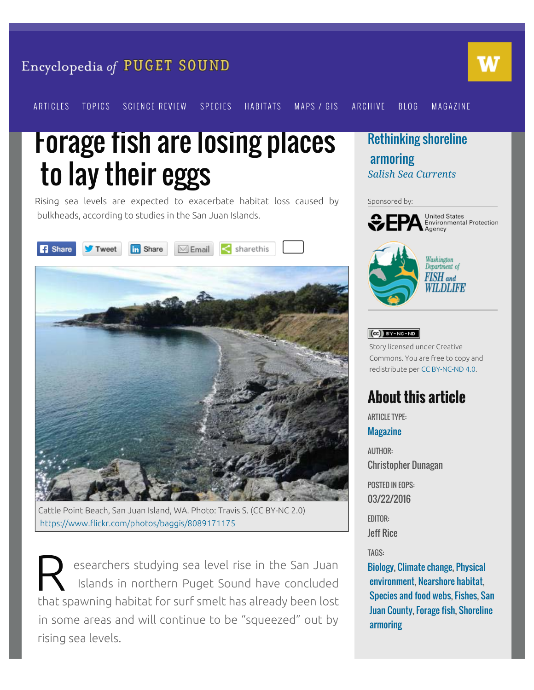#### Encyclopedia of PUGET SOUND



[ARTICLES](https://www.eopugetsound.org/articles) [TOPICS](https://www.eopugetsound.org/areas) [SCIENCE REVIEW](https://www.eopugetsound.org/science-review) [SPECIES](https://www.eopugetsound.org/species) [HABITATS](https://www.eopugetsound.org/areas/biology) [MAPS / GIS](https://www.eopugetsound.org/maps) [ARCHIVE](https://www.eopugetsound.org/archive) [BLOG](https://www.eopugetsound.org/blog) [MAGAZINE](https://www.eopugetsound.org/magazine)

## Forage fish are losing places to lay their eggs

Rising sea levels are expected to exacerbate habitat loss caused by bulkheads, according to studies in the San Juan Islands.





Cattle Point Beach, San Juan Island, WA. Photo: Travis S. (CC BY-NC 2.0) <https://www.flickr.com/photos/baggis/8089171175>

R esearchers studying sea level rise in the San Juan Islands in northern Puget Sound have concluded that spawning habitat for surf smelt has already been lost in some areas and will continue to be "squeezed" out by rising sea levels.

[Rethinking shoreline](https://www.eopugetsound.org/magazine/shoreline-armoring)  [armoring](https://www.eopugetsound.org/magazine/shoreline-armoring) *[Salish Sea Currents](https://www.eopugetsound.org/magazine)*

#### Sponsored by:



**United States** Environmental Protection



# WILDLIFE

#### $(G)$  BY-NC-ND

Story licensed under Creative Commons. You are free to copy and redistribute per [CC BY-NC-ND 4.0](http://creativecommons.org/licenses/by-nc-nd/4.0/).

## **About this article**

ARTICLE TYPE: **[Magazine](https://www.eopugetsound.org/articles?field_feature_type_tid%5B%5D=308)** 

AUTHOR: Christopher Dunagan POSTED IN EOPS: 03/22/2016 EDITOR: Jeff Rice TAGS: [Biology](https://www.eopugetsound.org/areas/biology), [Climate change](https://www.eopugetsound.org/areas/climate-change), [Physical](https://www.eopugetsound.org/areas/physical-environment)  [environment](https://www.eopugetsound.org/areas/physical-environment), [Nearshore habitat,](https://www.eopugetsound.org/topics/categories/80) [Species and food webs](https://www.eopugetsound.org/topics/categories/17), [Fishes,](https://www.eopugetsound.org/topics/categories/40) [San](https://www.eopugetsound.org/topics/categories/99)  [Juan County](https://www.eopugetsound.org/topics/categories/99), [Forage fish](https://www.eopugetsound.org/topics/categories/351), [Shoreline](https://www.eopugetsound.org/topics/categories/125)  [armoring](https://www.eopugetsound.org/topics/categories/125)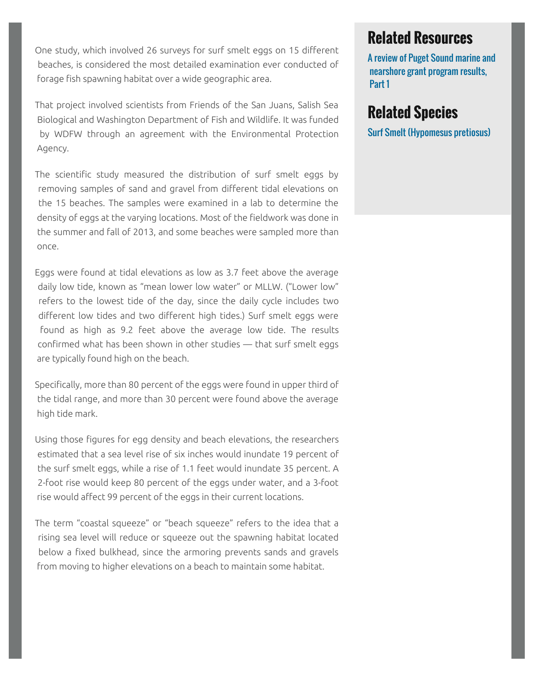One study, which involved 26 surveys for surf smelt eggs on 15 different beaches, is considered the most detailed examination ever conducted of forage fish spawning habitat over a wide geographic area.

That project involved scientists from Friends of the San Juans, Salish Sea Biological and Washington Department of Fish and Wildlife. It was funded by WDFW through an agreement with the Environmental Protection Agency.

The scientific study measured the distribution of surf smelt eggs by removing samples of sand and gravel from different tidal elevations on the 15 beaches. The samples were examined in a lab to determine the density of eggs at the varying locations. Most of the fieldwork was done in the summer and fall of 2013, and some beaches were sampled more than once.

Eggs were found at tidal elevations as low as 3.7 feet above the average daily low tide, known as "mean lower low water" or MLLW. ("Lower low" refers to the lowest tide of the day, since the daily cycle includes two different low tides and two different high tides.) Surf smelt eggs were found as high as 9.2 feet above the average low tide. The results confirmed what has been shown in other studies — that surf smelt eggs are typically found high on the beach.

Specifically, more than 80 percent of the eggs were found in upper third of the tidal range, and more than 30 percent were found above the average high tide mark.

Using those figures for egg density and beach elevations, the researchers estimated that a sea level rise of six inches would inundate 19 percent of the surf smelt eggs, while a rise of 1.1 feet would inundate 35 percent. A 2-foot rise would keep 80 percent of the eggs under water, and a 3-foot rise would affect 99 percent of the eggs in their current locations.

The term "coastal squeeze" or "beach squeeze" refers to the idea that a rising sea level will reduce or squeeze out the spawning habitat located below a fixed bulkhead, since the armoring prevents sands and gravels from moving to higher elevations on a beach to maintain some habitat.

### **Related Resources**

[A review of Puget Sound marine and](https://www.eopugetsound.org/articles/review-puget-sound-marine-and-nearshore-grant-program-results-part-1)  [nearshore grant program results,](https://www.eopugetsound.org/articles/review-puget-sound-marine-and-nearshore-grant-program-results-part-1)  [Part 1](https://www.eopugetsound.org/articles/review-puget-sound-marine-and-nearshore-grant-program-results-part-1)

### **Related Species**

[Surf Smelt \(Hypomesus pretiosus\)](https://www.eopugetsound.org/species/hypomesus-pretiosus)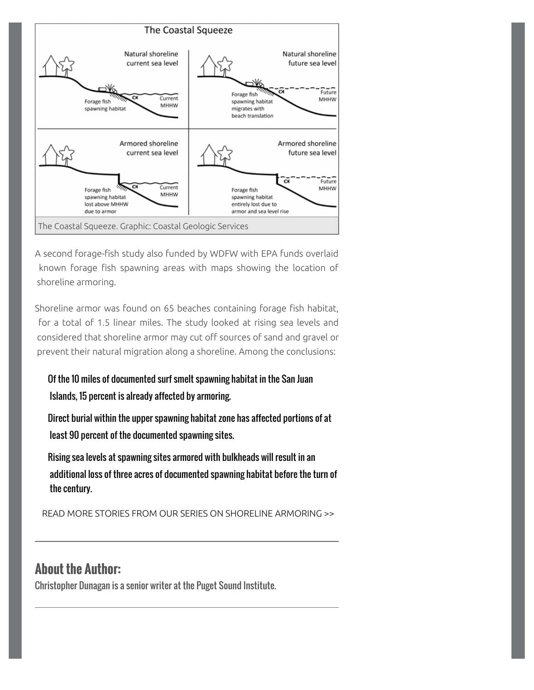

A second forage-fish study also funded by WDFW with EPA funds overlaid known forage fish spawning areas with maps showing the location of shoreline armoring.

Shoreline armor was found on 65 beaches containing forage fish habitat, for a total of 1.5 linear miles. The study looked at rising sea levels and considered that shoreline armor may cut off sources of sand and gravel or prevent their natural migration along a shoreline. Among the conclusions:

#### Of the 10 miles of documented surf smelt spawning habitat in the San Juan Islands, 15 percent is already affected by armoring.

Direct burial within the upper spawning habitat zone has affected portions of at least 90 percent of the documented spawning sites.

Rising sea levels at spawning sites armored with bulkheads will result in an additional loss of three acres of documented spawning habitat before the turn of the century.

READ MORE STORIES FROM OUR [SERIES ON SHORELINE ARMORING](https://www.eopugetsound.org/magazine/shoreline-armoring) >>

#### **About the Author:**

Christopher Dunagan is a senior writer at the Puget Sound Institute.